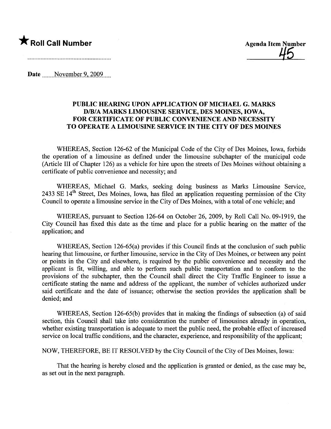

<u>45</u>

Date November 9, 2009

## PUBLIC HEARING UPON APPLICATION OF MICHAEL G. MARKS D/B/A MARKS LIMOUSINE SERVICE, DES MOINES, IOWA, FOR CERTIFICATE OF PUBLIC CONVENIENCE AND NECESSITY TO OPERATE A LIMOUSINE SERVICE IN THE CITY OF DES MOINES

WHEREAS, Section 126-62 of the Municipal Code of the City of Des Moines, Iowa, forbids the operation of a limousine as defined under the limousine subchapter of the municipal code (Aricle III of Chapter 126) as a vehicle for hire upon the streets of Des Moines without obtaining a certificate of public convenience and necessity; and

WHEREAS, Michael G. Marks, seeking doing business as Marks Limousine Service, 2433 SE  $14<sup>th</sup>$  Street, Des Moines, Iowa, has filed an application requesting permission of the City Council to operate a limousine service in the City of Des Moines, with a total of one vehicle; and

WHEREAS, pursuant to Section 126-64 on October 26, 2009, by Roll Call No. 09-1919, the City Council has fixed this date as the time and place for a public hearing on the matter of the application; and

WHEREAS, Section 126-65(a) provides if this Council finds at the conclusion of such public hearing that limousine, or further limousine, service in the City of Des Moines, or between any point or points in the City and elsewhere, is required by the public convenience and necessity and the applicant is fit, wiling, and able to perform such public transportation and to conform to the provisions of the subchapter, then the Council shall direct the City Traffic Engineer to issue a certificate stating the name and address of the applicant, the number of vehicles authorized under said certificate and the date of issuance; otherwise the section provides the application shall be denied; and

WHEREAS, Section 126-65(b) provides that in making the findings of subsection (a) of said section, this Council shall take into consideration the number of limousines already in operation, whether existing transportation is adequate to meet the public need, the probable effect of increased service on local traffic conditions, and the character, experience, and responsibility of the applicant;

NOW, THEREFORE, BE IT RESOLVED by the City Council ofthe City of Des Moines, Iowa:

That the hearing is hereby closed and the application is granted or denied, as the case may be, as set out in the next paragraph.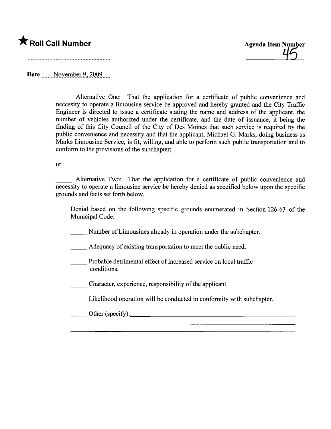\* Roll Call Number<br>
46

Date movember 9, 2009

Alternative One: That the application for a certificate of public convenience and necessity to operate a limousine service be approved and hereby granted and the City Traffic Engineer is directed to issue a certificate stating the name and address of the applicant, the number of vehicles authorized under the certificate, and the date of issuance, it being the finding of this City Council of the City of Des Moines that such service is required by the public convenience and necessity and that the applicant, Michael G. Marks, doing business as Marks Limousine Service, is fit, willing, and able to perform such public transportation and to conform to the provisions of the subchapter;

## or

Alternative Two: That the application for a certificate of public convenience and necessity to operate a limousine service be hereby denied as specified below upon the specific grounds and facts set forth below.

Denial based on the following specific grounds enumerated in Section 126-63 of the Municipal Code:

Number of Limousines already in operation under the subchapter.

Adequacy of existing transportation to meet the public need.

- Probable detrimental effect of increased service on local traffic conditions.
- \_ Character, experience, responsibility of the applicant.
- Likelihood operation will be conducted in conformity with subchapter.
- Other (specify):  $\qquad \qquad$   $\qquad \qquad$   $\qquad \qquad$   $\qquad \qquad$   $\qquad \qquad$   $\qquad \qquad$   $\qquad \qquad$   $\qquad \qquad$   $\qquad \qquad$   $\qquad \qquad$   $\qquad \qquad$   $\qquad \qquad$   $\qquad \qquad$   $\qquad \qquad$   $\qquad \qquad$   $\qquad \qquad$   $\qquad \qquad$   $\qquad \qquad$   $\qquad \qquad$   $\qquad \qquad$   $\qquad \qquad$   $\qquad \qquad$   $\qquad \qquad$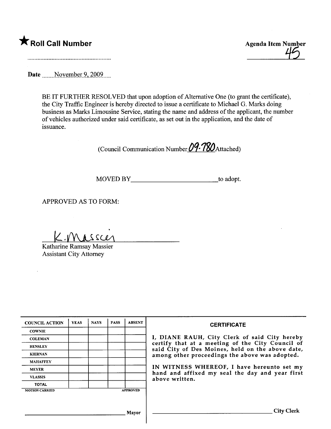

 $\overline{\phantom{a}}$  Roll Call Number Agenda Item Number Agenda Item Number  $\overline{\phantom{a}}$ 

Date November 9, 2009

BE IT FURTHER RESOLVED that upon adoption of Alternative One (to grant the certificate), the City Traffic Engineer is hereby directed to issue a certificate to Michael G. Marks doing business as Marks Limousine Service, stating the name and address of the applicant, the number of vehicles authorized under said certificate, as set out in the application, and the date of issuance.

(Council Communication Number  $09.780$  Attached)

MOVED BY to adopt.

APPROVED AS TO FORM:

 $K$ . Massur

Katharine Ramsay Massier Assistant City Attorney

| <b>COUNCIL ACTION</b> | <b>YEAS</b> | <b>NAYS</b> | <b>PASS</b> | <b>ABSENT</b>   | <b>CERTIFICATE</b>                                                                                   |
|-----------------------|-------------|-------------|-------------|-----------------|------------------------------------------------------------------------------------------------------|
| <b>COWNIE</b>         |             |             |             |                 |                                                                                                      |
| <b>COLEMAN</b>        |             |             |             |                 | I, DIANE RAUH, City Clerk of said City hereby                                                        |
| <b>HENSLEY</b>        |             |             |             |                 | certify that at a meeting of the City Council of<br>said City of Des Moines, held on the above date, |
| <b>KIERNAN</b>        |             |             |             |                 | among other proceedings the above was adopted.                                                       |
| <b>MAHAFFEY</b>       |             |             |             |                 |                                                                                                      |
| <b>MEYER</b>          |             |             |             |                 | IN WITNESS WHEREOF, I have hereunto set my                                                           |
| <b>VLASSIS</b>        |             |             |             |                 | hand and affixed my seal the day and year first<br>above written.                                    |
| <b>TOTAL</b>          |             |             |             |                 |                                                                                                      |
| <b>MOTION CARRIED</b> |             |             |             | <b>APPROVED</b> |                                                                                                      |
|                       |             |             |             |                 |                                                                                                      |
|                       |             |             |             |                 |                                                                                                      |
|                       |             |             |             | Mayor           | <b>City Clerk</b>                                                                                    |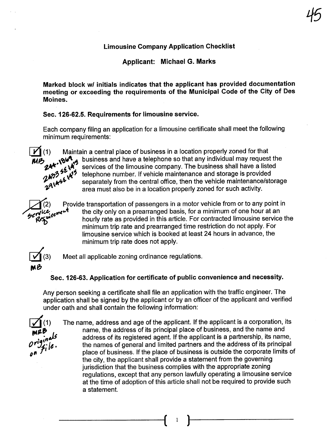## Limousine Company Application Checklist

45

Applicant: Michael G. Marks

Marked block wI initials indicates that the applicant has provided documentation meeting or exceeding the requirements of the Municipal Code of the City of Des Moines.

## Sec. 126-62.5. Requirements for limousine service.

Each company filing an application for a limousine certificate shall meet the following minimum requirements:



(1) Maintain a central place of business in a location properly zoned for that<br> **b**  $\mathbf{Q} \mathbf{Q} \mathbf{A}_{\mathbf{A}}$  business and have a telephone so that any individual may request the services of the limousine company. The business shall have a listed telephone number. If vehicle maintenance and storage is provided separately from the central office, then the vehicle maintenance/storage area must also be in a location properly zoned for such activity.

Provide transportation of passengers in a motor vehicle from or to any point in<br><sub>t</sub>ویید معلم the city only on a prearranged basis, for a minimum of one hour at an the city only on a prearranged basis, for a minimum of one hour at an hourly rate as provided in this article. For contracted limousine service the minimum trip rate and prearranged time restriction do not apply. For limousine service which is booked at least 24 hours in advance, the minimum trip rate does not apply.



Meet all applicable zoning ordinance regulations.

## Sec. 126-63. Application for certificate of public convenience and necessity.

Any person seeking a certificate shall file an application with the traffic engineer. The application shall be signed by the applicant or by an officer of the applicant and verified under oath and shall contain the following information:

 $\frac{1}{\mathsf{M}}$  $\overset{(1)}{\mathsf{M}}$  $a^{\mu\nu}$  $\boldsymbol{\nu}$   $\boldsymbol{\lrcorner}$   $\boldsymbol{\lrcorner}$  ie  $\boldsymbol{\cdot}$ on

The name, address and age of the applicant. If the applicant is a corporation, its name, the address of its principal place of business, and the name and address of its registered agent. If the applicant is a partnership, its name, the names of general and limited partners and the address of its principal place of business. If the place of business is outside the corporate limits of the city, the applicant shall provide a statement from the governing jurisdiction that the business complies with the appropriate zoning regulations, except that any person lawfully operating a limousine service at the time of adoption of this article shall not be required to provide such a statement.

 $\left( \begin{array}{cc} 1 \end{array} \right)$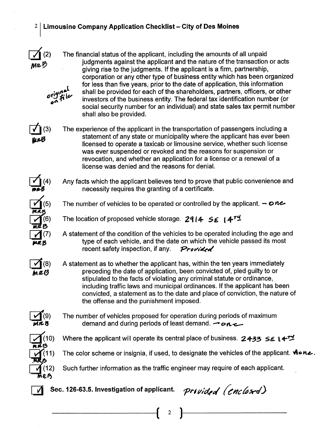## $2 \mid$  Limousine Company Application Checklist – City of Des Moines



The financial status of the applicant, including the amounts of all unpaid judgments against the applicant and the nature of the transaction or acts giving rise to the judgments. If the applicant is a firm, partnership, corporation or any other type of business entity which has been organized for less than five years, prior to the date of application, this information shall be provided for each of the shareholders, partners, officers, or other investors of the business entity. The federal tax identification number (or social security number for an individual) and state sales tax permit number shall also be provided.  $i^{q}$ or $J$ fil $\nu$ 



o^

The experience of the applicant in the transportation of passengers including a statement of any state or municipality where the applicant has ever been licensed to operate a taxicab or limousine service, whether such license was ever suspended or revoked and the reasons for suspension or revocation, and whether an application for a license or a renewal of a license was denied and the reasons for deniaL.



Any facts which the applicant believes tend to prove that public convenience and necessity requires the granting of a certificate.



 $(8)$ mrG

The number of vehicles to be operated or controlled by the applicant.  $\rightarrow$  one

The location of proposed vehicle storage. 2914  $5\xi$  | 4<sup>rm</sup>

A statement of the condition of the vehicles to be operated including the age and type of each vehicle, and the date on which the vehicle passed its most recent safety inspection, if any.  $P$ rovided

A statement as to whether the applicant has, within the ten years immediately preceding the date of application, been convicted of, pled guilty to or stipulated to the facts of violating any criminal statute or ordinance, including traffic laws and municipal ordinances. If the applicant has been convicted, a statement as to the date and place of conviction, the nature of the offense and the punishment imposed.



The number of vehicles proposed for operation during periods of maximum demand and during periods of least demand.  $\rightarrow$  on  $\rightarrow$ 



Where the applicant will operate its central place of business. 2433 SE L4<sup>+1</sup>





Such further information as the traffic engineer may require of each applicant.

 $\left( \begin{array}{cc} 2 \end{array} \right)$ 



 $\overline{V}$  Sec. 126-63.5. Investigation of applicant. Provided (enclosed)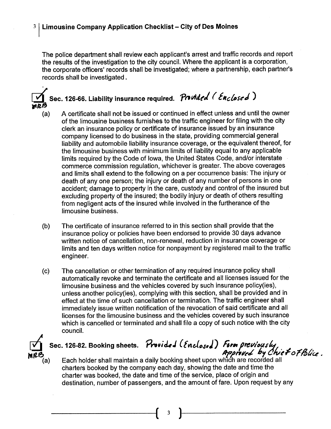The police department shall review each applicant's arrest and traffic records and report the results of the investigation to the city council. Where the applicant is a corporation, the corporate officers' records shall be investigated; where a partnership, each partner's records shall be investigated.

## Sec. 126-66. Liability insurance required. Provided (Enclosed) .<br>mr

- (a) A certificate shall not be issued or continued in effect unless and until the owner of the limousine business furnishes to the traffc engineer for filng with the city clerk an insurance policy or certificate of insurance issued by an insurance company licensed to do business in the state, providing commercial general liability and automobile liability insurance coverage, or the equivalent thereof, for the limousine business with minimum limits of liability equal to any applicable limits required by the Code of Iowa, the United States Code, and/or interstate commerce commission regulation, whichever is greater. The above coverages and limits shall extend to the following on a per occurrence basis: The injury or death of any one person; the injury or death of any number of persons in one accident; damage to property in the care, custody and control of the insured but excluding property of the insured; the bodily injury or death of others resulting from negligent acts of the insured while involved in the furtherance of the limousine business.
- (b) The certificate of insurance referred to in this section shall provide that the insurance policy or policies have been endorsed to provide 30 days advance written notice of cancellation, non-renewal, reduction in insurance coverage or limits and ten days written notice for nonpayment by registered mail to the traffic engineer.
- (c) The cancellation or other termination of any required insurance policy shall automatically revoke and terminate the certificate and all licenses issued for the limousine business and the vehicles covered by such insurance policy(ies), unless another policy(ies), complying with this section, shall be provided and in effect at the time of such cancellation or termination. The traffic engineer shall immediately issue written notification of the revocation of said certificate and all licenses for the limousine business and the vehicles covered by such insurance which is cancelled or terminated and shall file a copy of such notice with the city counciL.



Sec. 126-82. Booking sheets. Provided (Enclosed) Form previously<br>Approved by Chief of Blice.<br>Each holder shall maintain a daily booking sheet upon which are recorded all

charters booked by the company each day, showing the date and time the charter was booked, the date and time of the service, place of origin and destination, number of passengers, and the amount of fare. Upon request by any

( 3 )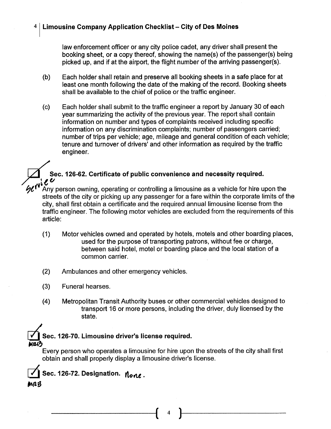## $4 \mid$  Limousine Company Application Checklist - City of Des Moines

law enforcement officer or any city police cadet, any driver shall present the booking sheet, or a copy thereof, showing the name(s) of the passenger(s) being picked up, and if at the airport, the flight number of the arriving passenger(s).

- (b) Each holder shall retain and preserve all booking sheets in a safe place for at least one month following the date of the making of the record. Booking sheets shall be available to the chief of police or the traffic engineer.
- (c) Each holder shall submit to the traffic engineer a report by January 30 of each year summarizing the activity of the previous year. The report shall contain information on number and types of complaints received including specific information on any discrimination complaints; number of passengers carried; number of trips per vehicle; age, mileage and general condition of each vehicle; tenure and turnover of drivers' and other information as required by the traffic engineer.

## Sec. 126-62. Certificate of public convenience and necessity required.<br> $\mathcal{U}$

Any person owning, operating or controlling a limousine as a vehicle for hire upon the streets of the city or picking up any passenger for a fare within the corporate limits of the city, shall first obtain a certificate and the required annual limousine license from the traffic engineer. The following motor vehicles are excluded from the requirements of this article:

- (1) Motor vehicles owned and operated by hotels, motels and other boarding places, used for the purpose of transporting patrons, without fee or charge, between said hotel, motel or boarding place and the local station of a common carrier.
- (2) Ambulances and other emergency vehicles.
- (3) Funeral hearses.
- (4) Metropolitan Transit Authority buses or other commercial vehicles designed to transport 16 or more persons, including the driver, duly licensed by the state.

# Sec. 126-70. Limousine driver's license required.

Every person who operates a limousine for hire upon the streets of the city shall first obtain and shall properly display a limousine driver's license.



 $\left( \begin{array}{cc} 4 \end{array} \right)$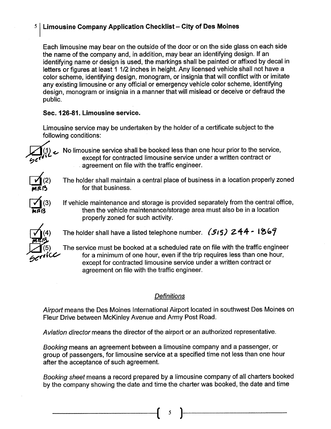## $5$  Limousine Company Application Checklist - City of Des Moines

Each limousine may bear on the outside of the door or on the side glass on each side the name of the company and, in addition, may bear an identifying design. If an identifying name or design is used, the markings shall be painted or affixed by decal in letters or figures at least 1 1/2 inches in height. Any licensed vehicle shall not have a color scheme, identifying design, monogram, or insignia that will conflict with or imitate any existing limousine or any official or emergency vehicle color scheme, identifying design, monogram or insignia in a manner that will mislead or deceive or defraud the public.

## Sec. 126-81. Limousine service.

Limousine service may be undertaken by the holder of a certificate subject to the following conditions:

)4i~ '7'('1\

 $\boxed{\phantom{1}}^{(2)}$ mr $\kappa$ B

 $\sum_{n}$ (3) 123

No limousine service shall be booked less than one hour prior to the service, except for contracted limousine service under a written contract or . agreement on file with the traffic engineer.

The holder shall maintain a central place of business in a location properly zoned for that business.

If vehicle maintenance and storage is provided separately from the central office, then the vehicle maintenance/storage area must also be in a location properly zoned for such activity.

The holder shall have a listed telephone number. (515) 244 - 1869

The service must be booked at a scheduled rate on file with the traffic engineer for a minimum of one hour, even if the trip requires less than one hour, except for contracted limousine service under a written contract or agreement on file with the traffic engineer.

## **Definitions**

Airport means the Des Moines International Airport located in southwest Des Moines on Fleur Drive between McKinley Avenue and Army Post Road.

Aviation director means the director of the airport or an authorized representative.

Booking means an agreement between a limousine company and a passenger, or group of passengers, for limousine service at a specified time not less than one hour after the acceptance of such agreement.

Booking sheet means a record prepared by a limousine company of all charters booked by the company showing the date and time the charter was booked, the date and time

 $\mathfrak{c}$  )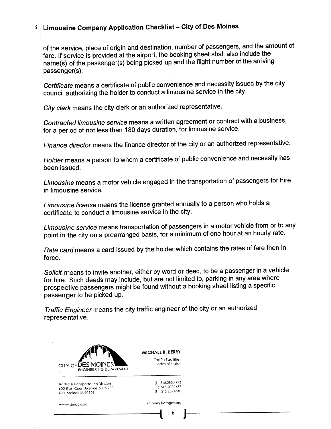## $6|$  Limousine Company Application Checklist - City of Des Moines

of the service, place of origin and destination, number of passengers, and the amount of fare. If service is provided at the airport, the booking sheet shall also include the name(s) of the passenger(s) being picked up and the flight number of the arriving passenger(s).

Certificate means a certificate of public convenience and necessity issued by the city council authorizing the holder to conduct a limousine service in the city.

City clerk means the city clerk or an authorized representative.

Contracted limousine service means a written agreement or contract with a business, for a period of not less than 180 days duration, for limousine service.

Finance director means the finance director of the city or an authorized representative.

Holder means a person to whom a certificate of public convenience and necessity has been issued.

Limousine means a motor vehicle engaged in the transportation of passengers for hire in limousine service.

Limousine license means the license granted annually to a person who holds a certificate to conduct a limousine service in the city.

Limousine service means transportation of passengers in a motor vehicle from or to any point in the city on a prearranged basis, for a minimum of one hour at an hourly rate.

Rate card means a card issued by the holder which contains the rates of fare then in force.

Solicit means to invite another, either by word or deed, to be a passenger in a vehicle for hire. Such deeds may include, but are not limited to, parking in any area where prospective passengers might be found without a booking sheet listing a specific passenger to be picked up.

Traffic Engineer means the city traffic engineer of the city or an authorized representative.



Traffic & Transportation Division 600 East Court Avenue. Suite 200 Des Moines. IA 50309

MICHAEL R. BERRY Traffic Facilifies

Adminisfrator

(TI 515.283.4973 IC) 515.202.1687 IFI 515.237.1640

www.dmgov.org mrberry@dmgov.org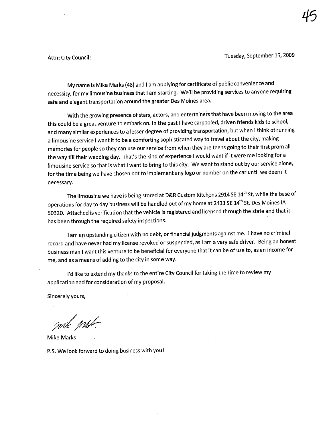Attn: City Council: Tuesday, September 15, 2009

My name is Mike Marks (48) and I am applying for certificate of public convenience and necessity, for my limousine business that I am starting. We'll be providing services to anyone requiring safe and elegant transportation around the greater Des Moines area.

With the growing presence of stars, actors, and entertainers that have been moving to the area this could be a great venture to embark on. In the past I have carpooled, driven friends kids to school, and many similar experiences to a lesser degree of providing transportation, but when I think of running a limousine service I want it to be a comforting sophisticated way to travel about the city, making memories for people so they can use our service from when they are teens going to their first prom all the way till their wedding day. That's the kind of experience I would want if it were me looking for a limousine service so that is what I want to bring to this city. We want to stand out by our service alone, for the time being we have chosen not to implement any logo or number on the car until we deem it necessary.

The limousine we have is being stored at D&R Custom Kitchens 2914 SE 14<sup>th</sup> St, while the base of operations for day to day business will be handled out of my home at 2433 SE 14<sup>th</sup> St. Des Moines IA 50320. Attached is verification that the vehicle is registered and licensed through the state and that it has been through the required safety inspections.

I am an upstanding citizen with no debt, or financial judgments against me. I have no criminal record and have never had my license revoked or suspended, as I am a very safe driver. Being an honest business man I want this venture to be beneficial for everyone that it can be of use to, as an income for me, and as a means of adding to the city in some way.

I'd like to extend my thanks to the entire City Council for taking the time to review my application and for consideration of my proposaL.

Sincerely yours,

mile Met

P.S. We look forward to doing business with you!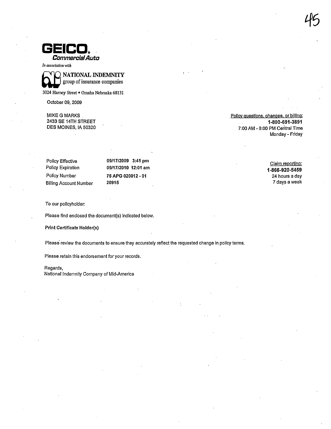

In association with



3024 Harney Street · Omaha Nebraska 68131

October 09, 2009

**MIKE G MARKS** 2433 SE 14TH STREET DES MOINES, IA 50320 Policy questions, changes, or billing: 1-800-691-3891 7:00 AM - 8:00 PM Central Time Monday - Friday

| Policy Effective       | 09/17/2009 3:41 pm  |
|------------------------|---------------------|
| Policy Expiration      | 09/17/2010 12:01 am |
| Policy Number          | 75 APG 020012 - 01  |
| Billing Account Number | 20915               |
|                        |                     |

Claim reportina: 1-866-920-5459 24 hours a day 7 days a week

To our policyholder:

Please find enclosed the document(s) indicated below.

Print Certificate Holder(s)

Please review the documents to ensure they accurately reflect the requested change in policy terms.

Please retain this endorsement for your records.

Regards,

National Indemnity Company of Mid-America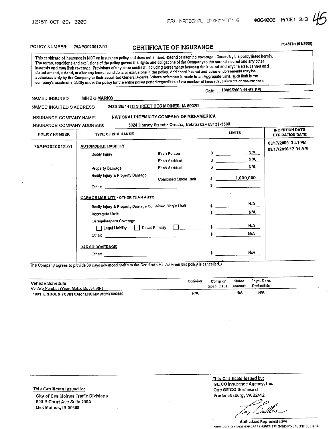POLICY NUMBER: 75APG020012-01 CERTIFICA TE OF INSURANCE MAST RESERVED TO MARRIAGE

This certificate of insurance is NOT an insurance policy and does not amend, extend or alter the coverage afforded by the policy listed herein. The terms, conditions and exclusions of the policy govem the rights and obligations of the Company to the named insured and any other insureds and may limit coverage. Provisions of any other contract. including agreements betwen the insured and anyone else. cannot and do not amend, extend, or alter any lenns, conditions or exclusions in the policy. Additional insured and other endorsements may be authorized only by the Company or their appointed General Agents. Where reference is made to an Aggregate Limit, such limit is the company's maximum liability under the policy for the entire policy period regardless of the number of insureds, claimants or occurrences.

#### Date 10/09/2009 11:57 PM

#### NAMED INSURED MIKE G MARKS

NAMED iNSUR ED'S ADDRESS 2433 SE 14TH STREET DES MOINES, IA 50320

iNSURANCE COMPANY NAME: NATIONAL INDEMNITY COMPANY OF MID-AMERICA

INSURANCE COMPANY ADDRESS: 3024 Harney Street . Omaha, Nebraska . 68131-3580

| <b>POLICY NUMBER</b> | <b>TYPE OF INSURANCE</b>                              |                       |            | <b>LIMITS</b> | INCEPTION DATE<br><b>EXPIRATION DATE</b> |
|----------------------|-------------------------------------------------------|-----------------------|------------|---------------|------------------------------------------|
| 75APG020012-01       | <b>AUTOMOBILE LIABILITY</b>                           |                       |            |               | 09/17/2009 3:41 PM                       |
|                      | Bodily Injury                                         | Each Person           | \$         | N/A           | 09/17/2010 12:01 AM                      |
|                      |                                                       | Each Accident         | s.         | N/A           |                                          |
|                      | Property Damage                                       | Each Accident         | \$         | N/A           |                                          |
|                      | Bodily Injury & Property Damage                       | Combined Single Limit |            | 1,000,000     |                                          |
|                      |                                                       |                       | S          |               |                                          |
|                      | GARAGE LIABILITY - OTHER THAN AUTO                    |                       |            |               |                                          |
|                      | Bodily Injury & Property Damage Combined Single Limit |                       |            | N/A           |                                          |
|                      | Aggregate Limit                                       |                       | $\ddot{x}$ | N/A           |                                          |
|                      | Garagekeepers Coverage                                |                       |            |               |                                          |
|                      | Legal Liability   Direct Primary                      |                       | $\sim$     | N/A           |                                          |
|                      | Other: $\qquad \qquad$                                |                       | s.         | N/A           |                                          |
|                      | <b>CARGO COVERAGE</b>                                 |                       |            |               |                                          |
|                      | Other:                                                |                       |            | N/A           |                                          |
|                      |                                                       |                       |            |               |                                          |

The Company agrees to provide 30 days advanced notice to the Certificate Holder when this policy is cancelled.

| Vehicle Schedule<br>Vehicle Number (Year, Make, Model, VIN) | Collision  | Comp or<br>Spec. Caus. Amount | Stated | Phys. Dam.<br>Deductible |  |
|-------------------------------------------------------------|------------|-------------------------------|--------|--------------------------|--|
| 1991 LINCOLN TOWN CAR 1LNCM81W3MY690459                     | <b>N/A</b> |                               | NIA    | NIA                      |  |

ThIs Cartlflcate Issued to: City of Des Moines Traffic Divisions 600 E Court Ave Suite 200A Des Moines, IA 50309

ThIs Certificate Issued by: GEICO Insurance Agency, Inc. One GEICO Boulevard Fredericksburg, VA 22412

~;?,/r.:" .. -. .<br>! ... | Deller /,r:~/ . ..,/,¡ge,1' -\_/

Authorized Representative . n/nai?nn" . .....A ~?"?PFi';1.P.I"Fi7.."1 ñ.8DF1.576C1 F506034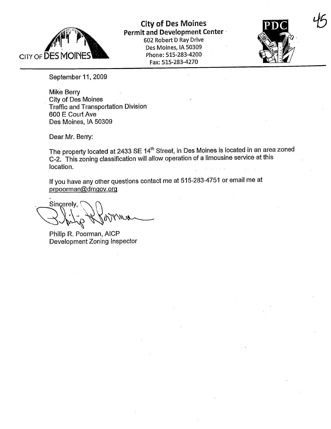

City of Des Moines Permit and Development Center 602 Robert D Ray Drive Des Moines, IA 50309 Phone: 515-283-4200

Fax: 515-283-4270



45

September 11, 2009

Mike Berry City of Des Moines Traffic and Transportation Division 600 E Court Ave Des Moines, IA 50309

Dear Mr. Berry:

The property located at 2433 SE 14<sup>th</sup> Street, in Des Moines is located in an area zoned C-2. This zoning classification wil allow operation of a limousine service at this location.

If you have any other questions contact me at 515-283-4751 or email me at prpoorman@dmgov.org

Sincerely,<br>
Subset of New York<br>
Philip R. Poorman, AICP

Development Zoning Inspector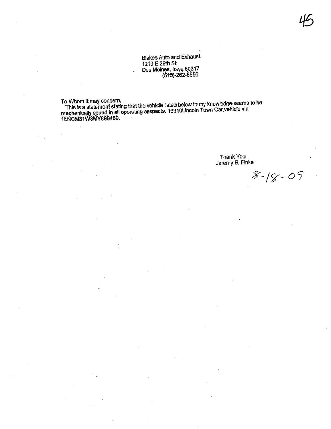## **Blakes Auto and Exhaust** 1210 E 29th St. Des Moines, Iowa 50317<br>Des Moines, Iowa 50317

To Whom it may concern,

This is a statement stating that the vehicle listed below to my knowledge seems to be<br>mechanically sound in all operating asspects. 19910Lincoln Town Car vehicle vin<br>12NCM81W3MY890459.

Thank You<br>Jeremy B. Finks

 $8 - 18 - 09$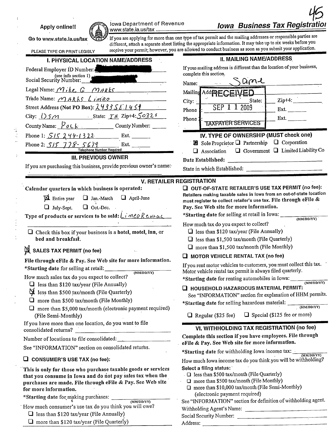Apply online!!

Iowa Department of Revenue www.state.ia.us/tax.

**Iowa Business Tax Registration** 

Go to www.state.ia.us/tax

 $\mathbb{R}^n$ 

If you are applying for more than one type of tax permit and the mailing addresses or responsible parties are different, attach a separate sheet listing the appropriate information. It may take up to six weeks before you receive your permit: however, you are allowed to conduct business as soon as you submit your application.

| PLEASE TYPE OR PRINT LEGIBLY<br>receive your permit, nowever, you are                                                                                                                                                                                                                                                                                               |                                                                                                                                              |
|---------------------------------------------------------------------------------------------------------------------------------------------------------------------------------------------------------------------------------------------------------------------------------------------------------------------------------------------------------------------|----------------------------------------------------------------------------------------------------------------------------------------------|
| I. PHYSICAL LOCATION NAME/ADDRESS                                                                                                                                                                                                                                                                                                                                   | <b>II. MAILING NAME/ADDRESS</b>                                                                                                              |
| Federal Employer ID Number:                                                                                                                                                                                                                                                                                                                                         | If your mailing address is different than the location of your business,                                                                     |
| (see info section 1) $\mu$<br>Social Security Number:                                                                                                                                                                                                                                                                                                               | complete this section.<br>ame<br>Name:                                                                                                       |
| Legal Name: $M$ , ke G $M$ ARKS                                                                                                                                                                                                                                                                                                                                     | Mailing Add PECEIVED                                                                                                                         |
| Trade Name: MARLS Limeo                                                                                                                                                                                                                                                                                                                                             | $Zip+4:$<br>City:<br>State:                                                                                                                  |
| Street Address (Not PO Box): $24335574457$                                                                                                                                                                                                                                                                                                                          | SEP 1 1 2009<br>Ext. $\qquad \qquad$<br>Phone                                                                                                |
| City: $\bigcup$ S $\bigcap$ $\bigcap$ $\bigcap$ $\bigcap$ State: $\bigcap \mu$ Zip+4: $\bigcap$ $\bigcap$ $\bigcap$ $\bigcap$ $\bigcap$ $\bigcap$ $\bigcap$ $\bigcap$ $\bigcap$ $\bigcap$ $\bigcap$ $\bigcap$ $\bigcap$ $\bigcap$ $\bigcap$ $\bigcap$ $\bigcap$ $\bigcap$ $\bigcap$ $\bigcap$ $\bigcap$ $\bigcap$ $\bigcap$ $\bigcap$ $\bigcap$ $\bigcap$ $\bigcap$ | Ext.<br>Phone:                                                                                                                               |
| County Name: $\frac{\partial \rho}{\partial x}$ County Number:                                                                                                                                                                                                                                                                                                      | <b>TAXPAYER SERVICES</b>                                                                                                                     |
| Phone 1: $515244-1322$ Ext.                                                                                                                                                                                                                                                                                                                                         | IV. TYPE OF OWNERSHIP (MUST check one)                                                                                                       |
| Phone 2: $515$ $778 - 5679$<br>Ext.                                                                                                                                                                                                                                                                                                                                 | ⊠ Sole Proprietor Q Partnership Q Corporation                                                                                                |
| Telephone Number Required                                                                                                                                                                                                                                                                                                                                           | $\Box$ Government $\Box$ Limited Liability Co<br>$\Box$ Association                                                                          |
| <b>III. PREVIOUS OWNER</b>                                                                                                                                                                                                                                                                                                                                          | Date Established:<br>the control of the control of the control of the                                                                        |
| If you are purchasing this business, provide previous owner's name:                                                                                                                                                                                                                                                                                                 |                                                                                                                                              |
|                                                                                                                                                                                                                                                                                                                                                                     | <b>V. RETAILER REGISTRATION</b>                                                                                                              |
| Calendar quarters in which business is operated:                                                                                                                                                                                                                                                                                                                    | OUT-OF-STATE RETAILER'S USE TAX PERMIT (no fee):                                                                                             |
| <b>Z</b> Entire year<br>$\Box$ April-June<br>$\Box$ Jan.-March                                                                                                                                                                                                                                                                                                      | Retailers making taxable sales in lowa from an out-of-state location<br>must register to collect retailer's use tax. File through eFile $\&$ |
| $\Box$ July-Sept.<br>$\Box$ Oct.-Dec.                                                                                                                                                                                                                                                                                                                               | Pay. See Web site for more information.                                                                                                      |
| Type of products or services to be sold: Limeo Restrac                                                                                                                                                                                                                                                                                                              | *Starting date for selling at retail in Iowa:<br>(MM/DD/YY)                                                                                  |
|                                                                                                                                                                                                                                                                                                                                                                     | How much tax do you expect to collect?                                                                                                       |
| $\Box$ Check this box if your business is a hotel, motel, inn, or                                                                                                                                                                                                                                                                                                   | $\Box$ less than \$120 tax/year (File Annually)                                                                                              |
| bed and breakfast.                                                                                                                                                                                                                                                                                                                                                  | $\Box$ less than \$1,500 tax/month (File Quarterly)                                                                                          |
| SALES TAX PERMIT (no fee)                                                                                                                                                                                                                                                                                                                                           | $\Box$ more than \$1,500 tax/month (File Monthly)                                                                                            |
| File through eFile & Pay. See Web site for more information.                                                                                                                                                                                                                                                                                                        | $\Box$ MOTOR VEHICLE RENTAL TAX (no fee)                                                                                                     |
| *Starting date for selling at retail:                                                                                                                                                                                                                                                                                                                               | If you rent motor vehicles to customers, you must collect this tax.                                                                          |
| (MM/DD/YY)<br>How much sales tax do you expect to collect?                                                                                                                                                                                                                                                                                                          | Motor vehicle rental tax permit is always filed quarterly.<br>*Starting date for renting automobiles in Iowa:                                |
| $\Box$ less than \$120 tax/year (File Annually)                                                                                                                                                                                                                                                                                                                     | (MM/DD/YY)                                                                                                                                   |
| d less than \$500 tax/month (File Quarterly)                                                                                                                                                                                                                                                                                                                        | $\Box$ HOUSEHOLD HAZARDOUS MATERIAL PERMIT:<br>See "INFORMATION" section for explanation of HHM permits.                                     |
| $\Box$ more than \$500 tax/month (File Monthly)                                                                                                                                                                                                                                                                                                                     | *Starting date for selling hazardous material:                                                                                               |
| $\Box$ more than \$5,000 tax/month (electronic payment required)                                                                                                                                                                                                                                                                                                    | (MM/DD/YY)                                                                                                                                   |
| (File Semi-Monthly)                                                                                                                                                                                                                                                                                                                                                 | $\Box$ Special (\$125 fee or more)<br>$\Box$ Regular (\$25 fee)                                                                              |
| If you have more than one location, do you want to file<br>$\mathcal{L}_{\text{max}}$ and $\mathcal{L}_{\text{max}}$ and $\mathcal{L}_{\text{max}}$                                                                                                                                                                                                                 | VI. WITHHOLDING TAX REGISTRATION (no fee)                                                                                                    |
| consolidated returns?                                                                                                                                                                                                                                                                                                                                               | Complete this section if you have employees. File through                                                                                    |
| Number of locations to file consolidated: _____                                                                                                                                                                                                                                                                                                                     | eFile & Pay. See Web site for more information.                                                                                              |
| See "INFORMATION" section on consolidated returns.                                                                                                                                                                                                                                                                                                                  | *Starting date for withholding Iowa income tax:<br>(MM/DD/YY)                                                                                |
| $\Box$ CONSUMER'S USE TAX (no fee):                                                                                                                                                                                                                                                                                                                                 | How much Iowa income tax do you think you will be withholding?                                                                               |
| This is only for those who purchase taxable goods or services                                                                                                                                                                                                                                                                                                       | Select a filing status:                                                                                                                      |
| that you consume in Iowa and do not pay sales tax when the                                                                                                                                                                                                                                                                                                          | □ less than \$500 tax/month (File Quarterly)<br>$\Box$ more than \$500 tax/month (File Monthly)                                              |
| purchases are made. File through eFile & Pay. See Web site<br>for more information.                                                                                                                                                                                                                                                                                 | □ more than \$10,000 tax/month (File Semi-Monthly)                                                                                           |
| *Starting date for making purchases: ______                                                                                                                                                                                                                                                                                                                         | (electronic payment required)                                                                                                                |
| (MM/DD/YY)                                                                                                                                                                                                                                                                                                                                                          | See "INFORMATION" section for definition of withholding agent.                                                                               |
| How much consumer's use tax do you think you will owe?                                                                                                                                                                                                                                                                                                              | Withholding Agent's Name:                                                                                                                    |

Social Security Number:

Address:

- **Q** less than \$120 tax/year (File Annually)
- $\Box$  more than \$120 tax/year (File Quarterly)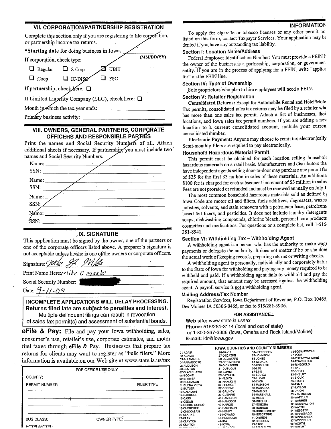## **VII. CORPORATION/PARTNERSHIP REGISTRATION**

Complete this section only if you are registering to file corporation. or partnership income tax returns. \*Starting date for doing business in Iowa: (MM/DD/YY) If corporation, check type: UBIT  $\Box$  Regular  $\Box$  S Corp  $\Box$  Coop  $\Box$  IC-DISQ  $\Box$  FSC If partnership, check here: If Limited Liability Company (LLC), check here:  $\Box$ Month in which the tax year ends: Primary business activity:

## VIII. OWNERS, GENERAL PARTNERS, CORPORATE OFFICERS AND RESPONSIBLE PARTIES

Print the names and Social Security Numbers of all. Attach additional sheets if necessary. If partnership, you must include two names and Social Security Numbers.

| Name:<br>and the company of the                                                                                                                                                                                                                                                                                                                                 |    |                      |        |  |
|-----------------------------------------------------------------------------------------------------------------------------------------------------------------------------------------------------------------------------------------------------------------------------------------------------------------------------------------------------------------|----|----------------------|--------|--|
| SSN:                                                                                                                                                                                                                                                                                                                                                            |    |                      |        |  |
|                                                                                                                                                                                                                                                                                                                                                                 |    |                      |        |  |
| SSN:                                                                                                                                                                                                                                                                                                                                                            |    |                      |        |  |
| Name:                                                                                                                                                                                                                                                                                                                                                           |    |                      |        |  |
| SSN:                                                                                                                                                                                                                                                                                                                                                            | ٠. | $\ddot{\phantom{0}}$ |        |  |
| Name:<br>$\frac{1}{\sqrt{2}}$ , $\frac{1}{\sqrt{2}}$ , $\frac{1}{\sqrt{2}}$ , $\frac{1}{\sqrt{2}}$ , $\frac{1}{\sqrt{2}}$ , $\frac{1}{\sqrt{2}}$ , $\frac{1}{\sqrt{2}}$ , $\frac{1}{\sqrt{2}}$ , $\frac{1}{\sqrt{2}}$ , $\frac{1}{\sqrt{2}}$ , $\frac{1}{\sqrt{2}}$ , $\frac{1}{\sqrt{2}}$ , $\frac{1}{\sqrt{2}}$ , $\frac{1}{\sqrt{2}}$ , $\frac{1}{\sqrt{2}}$ |    |                      |        |  |
| SSN:                                                                                                                                                                                                                                                                                                                                                            |    |                      |        |  |
|                                                                                                                                                                                                                                                                                                                                                                 |    |                      | $\sim$ |  |

#### **IX. SIGNATURE**

This application must be signed by the owner, one of the partners or one of the corporate officers listed above. A preparer's signature is not acceptable unloss he/she is one of/the owners or corporate officers.

Signature: Wle 24 Mle Print Name Here:  $Mike$  G MAR $k$ Social Security Number: Date:  $9 - 11 - 09$ 

**INCOMPLETE APPLICATIONS WILL DELAY PROCESSING.** Returns filed late are subject to penalties and interest. Multiple delinguent filings can result in revocation of sales tax permit(s) and assessment of substantial bonds.

eFile & Pay: File and pay your Iowa withholding, sales, consumer's use, retailer's use, corporate estimates, and motor fuel taxes through eFile & Pay. Businesses that prepare tax returns for clients may want to register as "bulk filers." More information is available on our Web site at www.state.ia.us/tax

|               | FOR OFFICE USE ONLY                                                                                                                                                                                                                                                                       |
|---------------|-------------------------------------------------------------------------------------------------------------------------------------------------------------------------------------------------------------------------------------------------------------------------------------------|
|               |                                                                                                                                                                                                                                                                                           |
| PERMIT NUMBER | <b>FILER TYPE</b>                                                                                                                                                                                                                                                                         |
|               |                                                                                                                                                                                                                                                                                           |
| र्णक          |                                                                                                                                                                                                                                                                                           |
|               |                                                                                                                                                                                                                                                                                           |
|               | OWNER TYPE: $\frac{1}{2}$ and $\frac{1}{2}$ and $\frac{1}{2}$ and $\frac{1}{2}$ and $\frac{1}{2}$ and $\frac{1}{2}$ and $\frac{1}{2}$ and $\frac{1}{2}$ and $\frac{1}{2}$ and $\frac{1}{2}$ and $\frac{1}{2}$ and $\frac{1}{2}$ and $\frac{1}{2}$ and $\frac{1}{2}$ and $\frac{1}{2}$ and |
| HOTEL MOTEL.  |                                                                                                                                                                                                                                                                                           |

#### **INFORMATION**

To apply for cigarette or tobacco licenses or any other permit no listed on this form, contact Taxpayer Services. Your application may be denied if you have any outstanding tax liability.

#### **Section I: Location Name/Address**

Federal Employer Identification Number: You must provide a FEIN i the owner of the business is a partnership, corporation, or governmen entity. If you are in the process of applying for a FEIN, write "applied for" on the FEIN line.

## Section IV: Type of Ownership

Sole proprietors who plan to hire employees will need a FEIN.

#### Section V: Retailer Registration

Consolidated Returns: Except for Automobile Rental and Hotel/Mote Tax permits, consolidated sales tax returns may be filed by a retailer who has more than one sales tax permit. Attach a list of businesses, thei locations, and Iowa sales tax permit numbers. If you are adding a nev location to a current consolidated account, include your curren consolidated number.

Electronic Payment: Anyone may choose to remit tax electronically Semi-monthly filers are required to pay electronically.

#### Household Hazardous Material Permit

This permit must be obtained for each location selling household hazardous materials on a retail basis. Manufacturers and distributors tha have independent agents selling door-to-door may purchase one permit fee of \$25 for the first \$3 million in sales of these materials. An additiona \$100 fee is charged for each subsequent increment of \$3 million in sales Fees are not prorated or refunded and must be renewed annually on July 1

The most common household hazardous materials sold as defined by Iowa Code are motor oil and filters, fuels additives, degreasers, waxes polishes, solvents, and stain removers with a petroleum base, petroleumbased fertilizers, and pesticides. It does not include laundry detergents soaps, dishwashing compounds, chlorine bleach, personal care products cosmetics and medications. For questions or a complete list, call 1-515-281-8941.

#### Section VI: Withholding Tax - Withholding Agent

A withholding agent is a person who has the authority to make wage payments or delegate the authority. It does not matter if he or she does the actual work of keeping records, preparing returns or writing checks.

A withholding agent is personally, individually and corporately liable to the State of Iowa for withholding and paying any money required to be withheld and paid. If a withholding agent fails to withhold and pay the required amount, that amount may be assessed against the withholding agent. A payroll service is not a withholding agent.

#### **Mailing Address/Fax Number**

Registration Services, Iowa Department of Revenue, P.O. Box 10465, Des Moines IA 50306-0465, or fax to 515/281-3906.

#### FOR ASSISTANCE...

Web site: www.state.ia.us/tax Phone: 515/281-3114 (local and out of state) or 1-800-367-3388 (lowa, Omaha and Rock Island/Moline) E-mail: idr@iowa.qov

|                 |                   | <b>IOWA COUNTIES AND COUNTY NUMBERS</b> |                  |  |
|-----------------|-------------------|-----------------------------------------|------------------|--|
| It-ADAIR        | 26-DAVIS          | 51-JEFFERSON                            | 76-POCAHONTAS    |  |
| 2-ADAMS         | 27-DECATUR        | 52-JOHNSON                              | 77-POLK          |  |
| 3-ALLAMAKEE     | 28-DELAWARE       | 53-JONES                                | 78-POTTAWATTAMIE |  |
| 4-APPANOOSE     | 29-DES MOINES     | <b>54-KEOKUK</b>                        | 79-POWESHIEK     |  |
| 5-AUDUBON       | 30-DICKINSON      | 55-KOSSUTH                              | 80-RINGGOLD      |  |
| <b>6-BENTON</b> | 31-DUBUQUE        | 56-LEE                                  | 81-SAC           |  |
| 7-BLACK HAWK    | 32-EMMET          | 57-LINN                                 | 82-SCOTT         |  |
| 8-BOONE         | 33-FAYETTE        | 58-LOUISA                               | 83-SHELBY        |  |
| 9-BREMER        | 34-FLOYD          | 59-LUCAS                                | 84-SIOUX         |  |
| 0-BUCHANAN      | 35-FRANKLIN       | 60-LYON                                 | 85-STORY         |  |
| 1-BUENA VISTA   | 36-FREMONT        | 61-MADISON                              | 86-TAMA          |  |
| 2-BUTLER        | 37-GREENE         | 62-MAHASKA                              | 87-TAYLOR        |  |
| 3-CALHOUN       | 38-GRUNDY         | 63-MARION                               | 88-UNION         |  |
| 4-CARROLL       | 39-GUTHRIE        | 64-MARSHALL                             | 89-VAN BUREN     |  |
| 5-CASS          | 40-HAMILTON       | 65-MILLS                                | 90-WAPELLO       |  |
| 6-CEDAR         | 41-HANCOCK        | 66-MITCHELL                             | 91-WARREN        |  |
| 7-CERRO GORDO   | 42-HARDIN         | 67-MONONA                               | 92-WASHINGTON    |  |
| 8-CHEROKEE      | 43-HARRISON       | 68-MONROE                               | 93-WAYNE         |  |
| 9-CHICKASAW     | 44-HENRY          | 69-MONTGOMERY                           | 94-WEBSTER       |  |
| 0-CLARKE        | 45-HOWARD         | 70-MUSCATINE                            | 95-WINNEBAGO     |  |
| 1-CLAY          | 46-HUMBOLDT       | 71-O'BRIEN                              | 96-WINNESHIEK    |  |
| 2-CLAYTON       | 47-IDA            | 72-OSCEOLA                              | 97-WOODBURY      |  |
| 3-CLINTON       | 48-IOWA           | 73 PAGE                                 | 98-WORTH         |  |
|                 | <b>IN HANVOON</b> | <b>74 DAIO ALTO</b>                     | 00-WRIGHT        |  |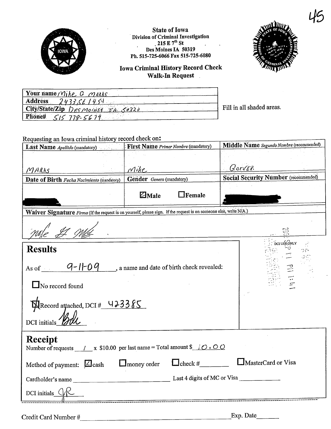

**State of Iowa** Division of Criminal Investigation<br>215 E  $7^{th}$  St<br>Des Moines IA 50319 Ph. 515-725-6066 Fax 515-725-6080

**Iowa Criminal History Record Check** Walk-In Request



| Your name Mike G MARKS            |                           |
|-----------------------------------|---------------------------|
| <b>Address</b><br>24333E/454      |                           |
| City/State/Zip Desmoints TA 50320 | Fill in all shaded areas. |
| Phone# $515$ 778-5679             |                           |

Requesting an Iowa criminal history record check on:

| <b>Last Name</b> Apellido (mandatory)                                                                                                                                                 | First Name Primer Nombre (mandatory) | Middle Name Segundo Nombre (recommended)    |
|---------------------------------------------------------------------------------------------------------------------------------------------------------------------------------------|--------------------------------------|---------------------------------------------|
|                                                                                                                                                                                       |                                      |                                             |
| MARKS                                                                                                                                                                                 | Mike                                 | Gorver.                                     |
| Date of Birth Fecha Nacimiento (mandatory)                                                                                                                                            | Gender Genero (mandatory)            | <b>Social Security Number</b> (recommended) |
|                                                                                                                                                                                       | $Z$ Male<br>$\Box$ Female            |                                             |
| Waiver Signature Firma (If the request is on yourself, please sign. If the request is on someone else, write N/A.)                                                                    |                                      |                                             |
|                                                                                                                                                                                       |                                      |                                             |
| <b>Results</b><br>As of $\overline{q-1}-0$ $\overline{q}$ , a name and date of birth check revealed:<br>$\Box$ No record found<br>MRecord attached, DCI # 423385<br>DCI initials Boll |                                      | DCI USE ONLY<br>$\frac{1}{2}$               |
|                                                                                                                                                                                       |                                      |                                             |
| Receipt<br>Number of requests $\angle x$ \$10.00 per last name = Total amount \$ $\angle O$ . O O                                                                                     |                                      |                                             |
| Method of payment: $\angle$ cash $\Box$ money order $\Box$ check #                                                                                                                    |                                      | MasterCard or Visa                          |
|                                                                                                                                                                                       |                                      |                                             |
| DCI initials $\bigcup$                                                                                                                                                                |                                      |                                             |
|                                                                                                                                                                                       |                                      |                                             |

Credit Card Number #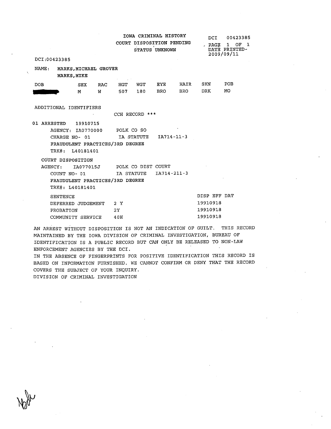|                  |                                                                                                   |            |     |                 |                | IOWA CRIMINAL HISTORY<br>COURT DISPOSITION PENDING<br>STATUS UNKNOWN |            | DCI<br>$.$ PAGE          | 00423385<br>OF <sub>1</sub><br>1<br>DATE PRINTED-<br>2009/09/11 |
|------------------|---------------------------------------------------------------------------------------------------|------------|-----|-----------------|----------------|----------------------------------------------------------------------|------------|--------------------------|-----------------------------------------------------------------|
|                  | DCI:00423385                                                                                      |            |     |                 |                |                                                                      |            |                          |                                                                 |
| $\mathtt{NAME:}$ | MARKS, MICHAEL GROVER<br><b>MARKS, MIKE</b>                                                       |            |     | and the project |                |                                                                      |            |                          |                                                                 |
| DOB.             |                                                                                                   | <b>SEX</b> | RAC |                 | HGT WGT        | EYE                                                                  | HAIR       | SKN                      | POB                                                             |
|                  |                                                                                                   | M          | W   | 507             | 180 -          | BRO                                                                  | <b>BRO</b> | DRK                      | MO                                                              |
|                  | ADDITIONAL IDENTIFIERS                                                                            |            |     |                 | CCH RECORD *** |                                                                      |            |                          |                                                                 |
|                  | 01 ARRESTED 19910715                                                                              |            |     |                 |                |                                                                      |            |                          |                                                                 |
|                  | AGENCY: IA0770000<br>CHARGE NO- 01<br>FRAUDULENT PRACTICES/3RD DEGREE<br>TRK#: L40181401          |            |     | POLK CO SO      |                | IA STATUTE IA714-11-3                                                |            |                          |                                                                 |
|                  | COURT DISPOSITION<br>AGENCY:<br>COUNT NO-01<br>FRAUDULENT PRACTICES/3RD DEGREE<br>TRK#: L40181401 |            |     |                 | IA STATUTE     | IA077015J POLK CO DIST COURT<br>$IA714 - 211 - 3$                    |            |                          |                                                                 |
|                  | SENTENCE<br>DEFERRED JUDGEMENT                                                                    |            |     | 2Y              |                |                                                                      |            | DISP EFF DAT<br>19910918 |                                                                 |
|                  | PROBATION                                                                                         |            |     | 2Y              |                |                                                                      |            | 19910918                 |                                                                 |
|                  | COMMUNITY SERVICE                                                                                 |            |     | 40H             |                |                                                                      |            | 19910918                 |                                                                 |

AN ARREST WITHOUT DISPOSITION IS NOT AN INDICATION OF GUILT. THIS RECORD MAINTAINED BY THE IOWA DIVISION OF CRIMINAL INVESTIGATION, BUREAU OF LDENTIFICATION IS A PUBLIC RECORD BUT CAN ONLY BE RELEASED TO NON-LAW ENFORCEMENT AGENCIES BY THE DCI.

IN THE ABSENCE OF FINGERPRINTS FOR POSITIVE IDENTIFICATION THIS RECORD IS BASED ON INFORMATION FURNISHED. WE CANOT CONFIRM OR DENY THAT THE RECORD COVERS THE SUBJECT OF YOUR INQUIRY. DIVISION OF CRIMINAL INVESTIGATION

**Walk**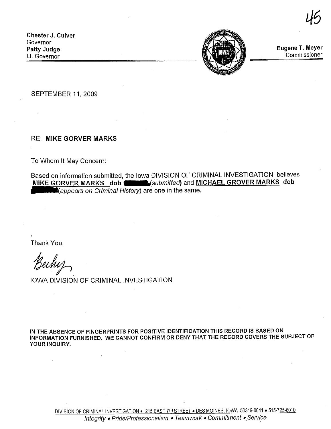Chester J. Culver **Governor** Patty Judge Lt. Governor

 $\mathbf{r}$ 



Eugene T. Meyer **Commissioner** 

45

**SEPTEMBER 11, 2009** 

**RE: MIKE GORVER MARKS** 

To Whom It May Concern:

Based on information submitted, the Iowa DIVISION OF CRIMINAL INVESTIGATION believes MIKE GORVER MARKS dob **Committed**) and MICHAEL GROVER MARKS dob  $\blacksquare$  (appears on Criminal History) are one in the same.

Thank You.

Bechos<br>IOWA DIVISION OF CRIMINAL INVESTIGATION

IN THE ABSENCE OF FINGERPRINTS FOR POSITIVE IDENTIFICATION THIS RECORD IS BASED ON INFORMATION FURNISHED. WE CANNOT CONFIRM OR DENY THAT THE RECORD COVERS THE SUBJECT OF YOUR INQUIRY.

DIVISION OF CRIMINAL INVESTIGATION . 215 EAST 7TH STREET . DES MOINES, IOWA 50319-0041 . 515-725-6010 Integrity · Pride/Professionalism · Teamwork · Commitment · Service